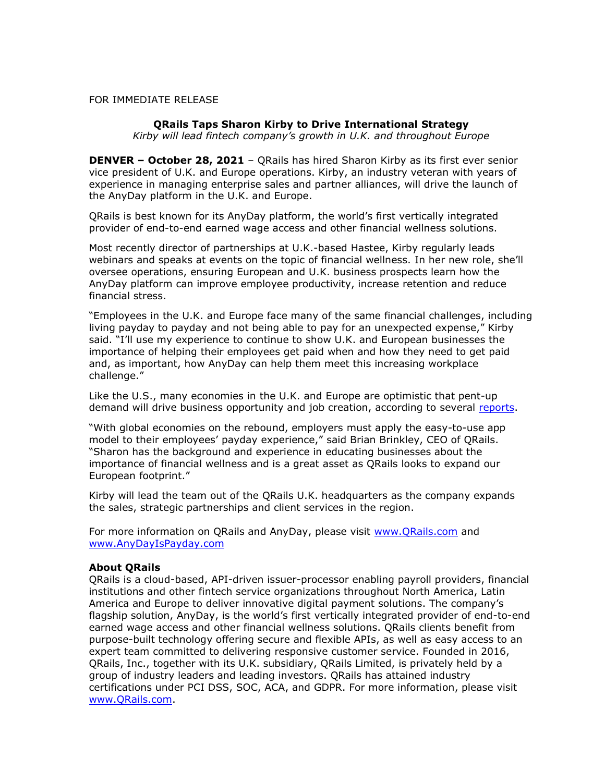## FOR IMMEDIATE RELEASE

## **QRails Taps Sharon Kirby to Drive International Strategy**

*Kirby will lead fintech company's growth in U.K. and throughout Europe*

**DENVER – October 28, 2021** – QRails has hired Sharon Kirby as its first ever senior vice president of U.K. and Europe operations. Kirby, an industry veteran with years of experience in managing enterprise sales and partner alliances, will drive the launch of the AnyDay platform in the U.K. and Europe.

QRails is best known for its AnyDay platform, the world's first vertically integrated provider of end-to-end earned wage access and other financial wellness solutions.

Most recently director of partnerships at U.K.-based Hastee, Kirby regularly leads webinars and speaks at events on the topic of financial wellness. In her new role, she'll oversee operations, ensuring European and U.K. business prospects learn how the AnyDay platform can improve employee productivity, increase retention and reduce financial stress.

"Employees in the U.K. and Europe face many of the same financial challenges, including living payday to payday and not being able to pay for an unexpected expense," Kirby said. "I'll use my experience to continue to show U.K. and European businesses the importance of helping their employees get paid when and how they need to get paid and, as important, how AnyDay can help them meet this increasing workplace challenge."

Like the U.S., many economies in the U.K. and Europe are optimistic that pent-up demand will drive business opportunity and job creation, according to several [reports.](https://www.reuters.com/world/europe/german-services-sector-drives-growth-recovery-persists-pmi-2021-09-03/)

"With global economies on the rebound, employers must apply the easy-to-use app model to their employees' payday experience," said Brian Brinkley, CEO of QRails. "Sharon has the background and experience in educating businesses about the importance of financial wellness and is a great asset as QRails looks to expand our European footprint."

Kirby will lead the team out of the QRails U.K. headquarters as the company expands the sales, strategic partnerships and client services in the region.

For more information on QRails and AnyDay, please visit [www.QRails.com](http://www.qrails.com/) and [www.AnyDayIsPayday.com](http://www.anydayispayday.com/)

## **About QRails**

QRails is a cloud-based, API-driven issuer-processor enabling payroll providers, financial institutions and other fintech service organizations throughout North America, Latin America and Europe to deliver innovative digital payment solutions. The company's flagship solution, AnyDay, is the world's first vertically integrated provider of end-to-end earned wage access and other financial wellness solutions. QRails clients benefit from purpose-built technology offering secure and flexible APIs, as well as easy access to an expert team committed to delivering responsive customer service. Founded in 2016, QRails, Inc., together with its U.K. subsidiary, QRails Limited, is privately held by a group of industry leaders and leading investors. QRails has attained industry certifications under PCI DSS, SOC, ACA, and GDPR. For more information, please visit [www.QRails.com.](http://www.qrails.com/)